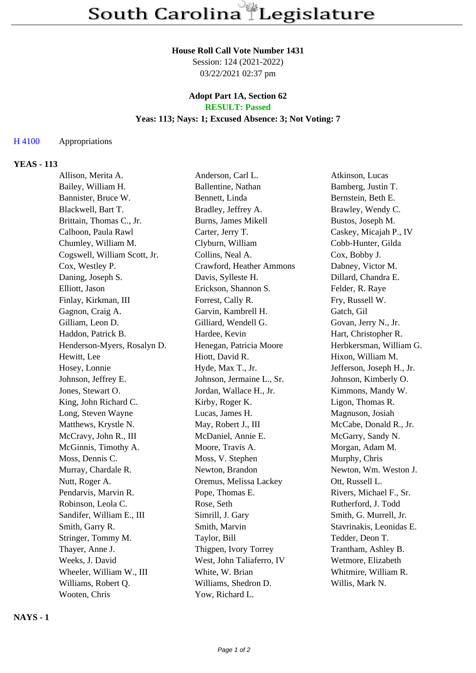## **House Roll Call Vote Number 1431**

Session: 124 (2021-2022) 03/22/2021 02:37 pm

#### **Adopt Part 1A, Section 62 RESULT: Passed**

# **Yeas: 113; Nays: 1; Excused Absence: 3; Not Voting: 7**

#### H 4100 Appropriations

#### **YEAS - 113**

| Allison, Merita A.           | Anderson, Carl L.         | Atkinson, Lucas           |
|------------------------------|---------------------------|---------------------------|
| Bailey, William H.           | Ballentine, Nathan        | Bamberg, Justin T.        |
| Bannister, Bruce W.          | Bennett, Linda            | Bernstein, Beth E.        |
| Blackwell, Bart T.           | Bradley, Jeffrey A.       | Brawley, Wendy C.         |
| Brittain, Thomas C., Jr.     | Burns, James Mikell       | Bustos, Joseph M.         |
| Calhoon, Paula Rawl          | Carter, Jerry T.          | Caskey, Micajah P., IV    |
| Chumley, William M.          | Clyburn, William          | Cobb-Hunter, Gilda        |
| Cogswell, William Scott, Jr. | Collins, Neal A.          | Cox, Bobby J.             |
| Cox, Westley P.              | Crawford, Heather Ammons  | Dabney, Victor M.         |
| Daning, Joseph S.            | Davis, Sylleste H.        | Dillard, Chandra E.       |
| Elliott, Jason               | Erickson, Shannon S.      | Felder, R. Raye           |
| Finlay, Kirkman, III         | Forrest, Cally R.         | Fry, Russell W.           |
| Gagnon, Craig A.             | Garvin, Kambrell H.       | Gatch, Gil                |
| Gilliam, Leon D.             | Gilliard, Wendell G.      | Govan, Jerry N., Jr.      |
| Haddon, Patrick B.           | Hardee, Kevin             | Hart, Christopher R.      |
| Henderson-Myers, Rosalyn D.  | Henegan, Patricia Moore   | Herbkersman, William G.   |
| Hewitt, Lee                  | Hiott, David R.           | Hixon, William M.         |
| Hosey, Lonnie                | Hyde, Max T., Jr.         | Jefferson, Joseph H., Jr. |
| Johnson, Jeffrey E.          | Johnson, Jermaine L., Sr. | Johnson, Kimberly O.      |
| Jones, Stewart O.            | Jordan, Wallace H., Jr.   | Kimmons, Mandy W.         |
| King, John Richard C.        | Kirby, Roger K.           | Ligon, Thomas R.          |
| Long, Steven Wayne           | Lucas, James H.           | Magnuson, Josiah          |
| Matthews, Krystle N.         | May, Robert J., III       | McCabe, Donald R., Jr.    |
| McCravy, John R., III        | McDaniel, Annie E.        | McGarry, Sandy N.         |
| McGinnis, Timothy A.         | Moore, Travis A.          | Morgan, Adam M.           |
| Moss, Dennis C.              | Moss, V. Stephen          | Murphy, Chris             |
| Murray, Chardale R.          | Newton, Brandon           | Newton, Wm. Weston J.     |
| Nutt, Roger A.               | Oremus, Melissa Lackey    | Ott, Russell L.           |
| Pendarvis, Marvin R.         | Pope, Thomas E.           | Rivers, Michael F., Sr.   |
| Robinson, Leola C.           | Rose, Seth                | Rutherford, J. Todd       |
| Sandifer, William E., III    | Simrill, J. Gary          | Smith, G. Murrell, Jr.    |
| Smith, Garry R.              | Smith, Marvin             | Stavrinakis, Leonidas E.  |
| Stringer, Tommy M.           | Taylor, Bill              | Tedder, Deon T.           |
| Thayer, Anne J.              | Thigpen, Ivory Torrey     | Trantham, Ashley B.       |
| Weeks, J. David              | West, John Taliaferro, IV | Wetmore, Elizabeth        |
| Wheeler, William W., III     | White, W. Brian           | Whitmire, William R.      |
| Williams, Robert Q.          | Williams, Shedron D.      | Willis, Mark N.           |
| Wooten, Chris                | Yow, Richard L.           |                           |

**NAYS - 1**